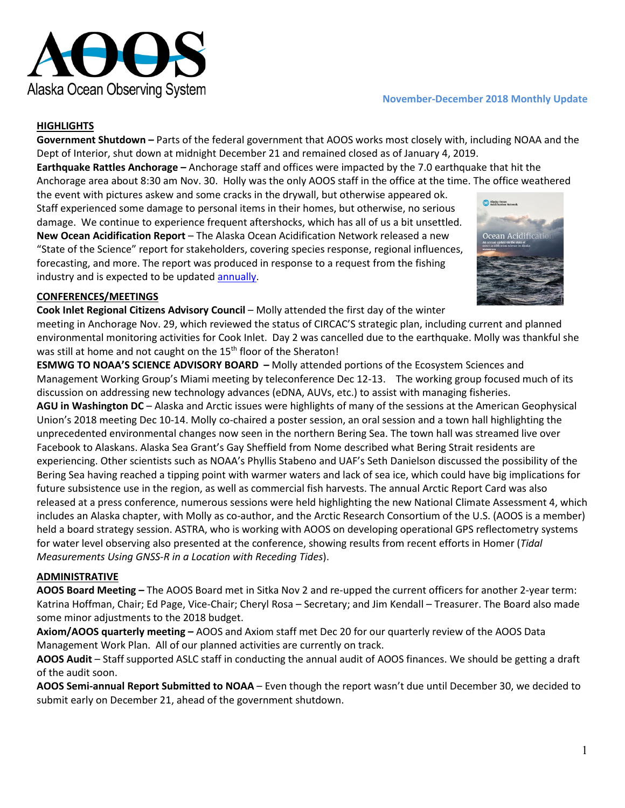

### **November-December 2018 Monthly Update**

### **HIGHLIGHTS**

**Government Shutdown –** Parts of the federal government that AOOS works most closely with, including NOAA and the Dept of Interior, shut down at midnight December 21 and remained closed as of January 4, 2019.

**Earthquake Rattles Anchorage –** Anchorage staff and offices were impacted by the 7.0 earthquake that hit the Anchorage area about 8:30 am Nov. 30. Holly was the only AOOS staff in the office at the time. The office weathered

the event with pictures askew and some cracks in the drywall, but otherwise appeared ok. Staff experienced some damage to personal items in their homes, but otherwise, no serious damage. We continue to experience frequent aftershocks, which has all of us a bit unsettled. **New Ocean Acidification Report** – The Alaska Ocean Acidification Network released a new "State of the Science" report for stakeholders, covering species response, regional influences, forecasting, and more. The report was produced in response to a request from the fishing industry and is expected to be updated [annually.](http://aoos.org/wp-content/uploads/2018/11/2018_State_of_OA_in_AK_medres-2.pdf)



#### **CONFERENCES/MEETINGS**

**Cook Inlet Regional Citizens Advisory Council** – Molly attended the first day of the winter

meeting in Anchorage Nov. 29, which reviewed the status of CIRCAC'S strategic plan, including current and planned environmental monitoring activities for Cook Inlet. Day 2 was cancelled due to the earthquake. Molly was thankful she was still at home and not caught on the 15<sup>th</sup> floor of the Sheraton!

**ESMWG TO NOAA'S SCIENCE ADVISORY BOARD –** Molly attended portions of the Ecosystem Sciences and Management Working Group's Miami meeting by teleconference Dec 12-13. The working group focused much of its discussion on addressing new technology advances (eDNA, AUVs, etc.) to assist with managing fisheries.

**AGU in Washington DC** – Alaska and Arctic issues were highlights of many of the sessions at the American Geophysical Union's 2018 meeting Dec 10-14. Molly co-chaired a poster session, an oral session and a town hall highlighting the unprecedented environmental changes now seen in the northern Bering Sea. The town hall was streamed live over Facebook to Alaskans. Alaska Sea Grant's Gay Sheffield from Nome described what Bering Strait residents are experiencing. Other scientists such as NOAA's Phyllis Stabeno and UAF's Seth Danielson discussed the possibility of the Bering Sea having reached a tipping point with warmer waters and lack of sea ice, which could have big implications for future subsistence use in the region, as well as commercial fish harvests. The annual Arctic Report Card was also released at a press conference, numerous sessions were held highlighting the new National Climate Assessment 4, which includes an Alaska chapter, with Molly as co-author, and the Arctic Research Consortium of the U.S. (AOOS is a member) held a board strategy session. ASTRA, who is working with AOOS on developing operational GPS reflectometry systems for water level observing also presented at the conference, showing results from recent efforts in Homer (*Tidal Measurements Using GNSS-R in a Location with Receding Tides*).

### **ADMINISTRATIVE**

**AOOS Board Meeting –** The AOOS Board met in Sitka Nov 2 and re-upped the current officers for another 2-year term: Katrina Hoffman, Chair; Ed Page, Vice-Chair; Cheryl Rosa – Secretary; and Jim Kendall – Treasurer. The Board also made some minor adjustments to the 2018 budget.

**Axiom/AOOS quarterly meeting –** AOOS and Axiom staff met Dec 20 for our quarterly review of the AOOS Data Management Work Plan. All of our planned activities are currently on track.

**AOOS Audit** – Staff supported ASLC staff in conducting the annual audit of AOOS finances. We should be getting a draft of the audit soon.

**AOOS Semi-annual Report Submitted to NOAA** – Even though the report wasn't due until December 30, we decided to submit early on December 21, ahead of the government shutdown.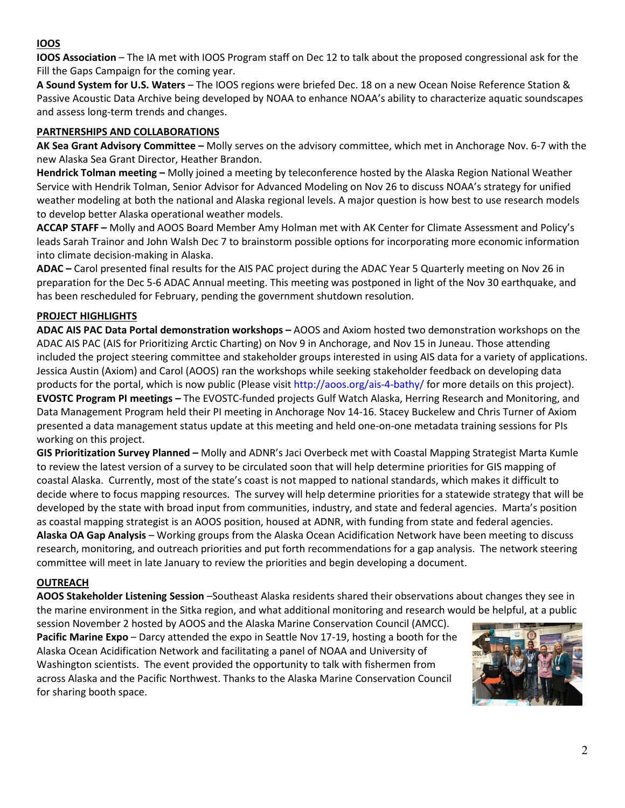# **IOOS**

**IOOS Association** – The IA met with IOOS Program staff on Dec 12 to talk about the proposed congressional ask for the Fill the Gaps Campaign for the coming year.

**A Sound System for U.S. Waters** – The IOOS regions were briefed Dec. 18 on a new Ocean Noise Reference Station & Passive Acoustic Data Archive being developed by NOAA to enhance NOAA's ability to characterize aquatic soundscapes and assess long-term trends and changes.

## **PARTNERSHIPS AND COLLABORATIONS**

**AK Sea Grant Advisory Committee –** Molly serves on the advisory committee, which met in Anchorage Nov. 6-7 with the new Alaska Sea Grant Director, Heather Brandon.

**Hendrick Tolman meeting –** Molly joined a meeting by teleconference hosted by the Alaska Region National Weather Service with Hendrik Tolman, Senior Advisor for Advanced Modeling on Nov 26 to discuss NOAA's strategy for unified weather modeling at both the national and Alaska regional levels. A major question is how best to use research models to develop better Alaska operational weather models.

**ACCAP STAFF –** Molly and AOOS Board Member Amy Holman met with AK Center for Climate Assessment and Policy's leads Sarah Trainor and John Walsh Dec 7 to brainstorm possible options for incorporating more economic information into climate decision-making in Alaska.

**ADAC –** Carol presented final results for the AIS PAC project during the ADAC Year 5 Quarterly meeting on Nov 26 in preparation for the Dec 5-6 ADAC Annual meeting. This meeting was postponed in light of the Nov 30 earthquake, and has been rescheduled for February, pending the government shutdown resolution.

# **PROJECT HIGHLIGHTS**

**ADAC AIS PAC Data Portal demonstration workshops –** AOOS and Axiom hosted two demonstration workshops on the ADAC AIS PAC (AIS for Prioritizing Arctic Charting) on Nov 9 in Anchorage, and Nov 15 in Juneau. Those attending included the project steering committee and stakeholder groups interested in using AIS data for a variety of applications. Jessica Austin (Axiom) and Carol (AOOS) ran the workshops while seeking stakeholder feedback on developing data products for the portal, which is now public (Please visit<http://aoos.org/ais-4-bathy/> for more details on this project). **EVOSTC Program PI meetings –** The EVOSTC-funded projects Gulf Watch Alaska, Herring Research and Monitoring, and Data Management Program held their PI meeting in Anchorage Nov 14-16. Stacey Buckelew and Chris Turner of Axiom presented a data management status update at this meeting and held one-on-one metadata training sessions for PIs working on this project.

**GIS Prioritization Survey Planned –** Molly and ADNR's Jaci Overbeck met with Coastal Mapping Strategist Marta Kumle to review the latest version of a survey to be circulated soon that will help determine priorities for GIS mapping of coastal Alaska. Currently, most of the state's coast is not mapped to national standards, which makes it difficult to decide where to focus mapping resources. The survey will help determine priorities for a statewide strategy that will be developed by the state with broad input from communities, industry, and state and federal agencies. Marta's position as coastal mapping strategist is an AOOS position, housed at ADNR, with funding from state and federal agencies. **Alaska OA Gap Analysis** – Working groups from the Alaska Ocean Acidification Network have been meeting to discuss research, monitoring, and outreach priorities and put forth recommendations for a gap analysis. The network steering committee will meet in late January to review the priorities and begin developing a document.

## **OUTREACH**

**AOOS Stakeholder Listening Session** –Southeast Alaska residents shared their observations about changes they see in the marine environment in the Sitka region, and what additional monitoring and research would be helpful, at a public

session November 2 hosted by AOOS and the Alaska Marine Conservation Council (AMCC). **Pacific Marine Expo** – Darcy attended the expo in Seattle Nov 17-19, hosting a booth for the Alaska Ocean Acidification Network and facilitating a panel of NOAA and University of Washington scientists. The event provided the opportunity to talk with fishermen from across Alaska and the Pacific Northwest. Thanks to the Alaska Marine Conservation Council for sharing booth space.